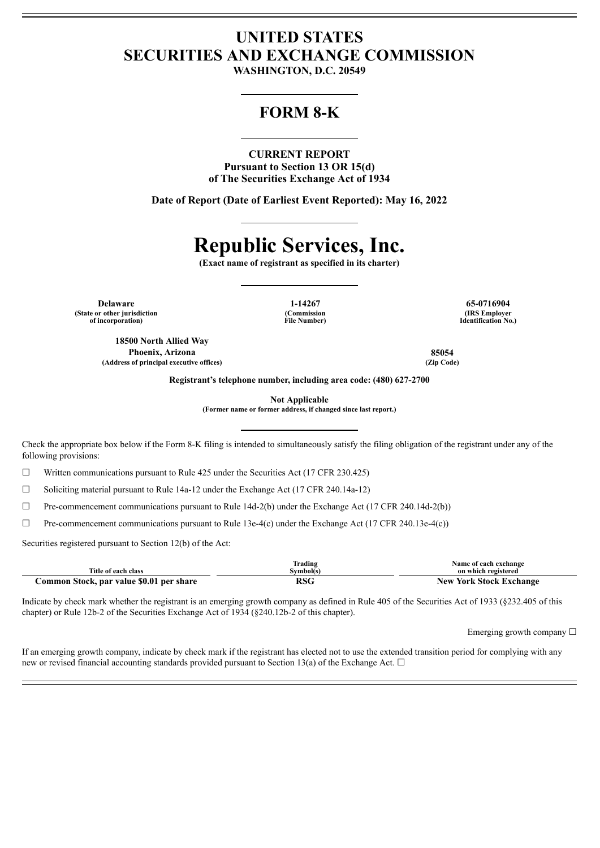## **UNITED STATES SECURITIES AND EXCHANGE COMMISSION**

**WASHINGTON, D.C. 20549**

### **FORM 8-K**

**CURRENT REPORT Pursuant to Section 13 OR 15(d) of The Securities Exchange Act of 1934**

**Date of Report (Date of Earliest Event Reported): May 16, 2022**

# **Republic Services, Inc.**

**(Exact name of registrant as specified in its charter)**

**Delaware 1-14267 65-0716904 (State or other jurisdiction of incorporation)**

**(Commission File Number)**

**(IRS Employer Identification No.)**

**18500 North Allied Way Phoenix, Arizona 85054 (Address of principal executive offices) (Zip Code)**

**Registrant's telephone number, including area code: (480) 627-2700**

**Not Applicable**

**(Former name or former address, if changed since last report.)**

Check the appropriate box below if the Form 8-K filing is intended to simultaneously satisfy the filing obligation of the registrant under any of the following provisions:

☐ Written communications pursuant to Rule 425 under the Securities Act (17 CFR 230.425)

☐ Soliciting material pursuant to Rule 14a-12 under the Exchange Act (17 CFR 240.14a-12)

☐ Pre-commencement communications pursuant to Rule 14d-2(b) under the Exchange Act (17 CFR 240.14d-2(b))

 $\Box$  Pre-commencement communications pursuant to Rule 13e-4(c) under the Exchange Act (17 CFR 240.13e-4(c))

Securities registered pursuant to Section 12(b) of the Act:

| Title of each class                      | rading]<br>Svmbol(s) | Name of each exchange<br>on which registered |
|------------------------------------------|----------------------|----------------------------------------------|
| Common Stock, par value \$0.01 per share | ncc<br><b>RSC</b>    | <b>New York Stock Exchange</b>               |

Indicate by check mark whether the registrant is an emerging growth company as defined in Rule 405 of the Securities Act of 1933 (§232.405 of this chapter) or Rule 12b-2 of the Securities Exchange Act of 1934 (§240.12b-2 of this chapter).

Emerging growth company  $\Box$ 

If an emerging growth company, indicate by check mark if the registrant has elected not to use the extended transition period for complying with any new or revised financial accounting standards provided pursuant to Section 13(a) of the Exchange Act.  $\Box$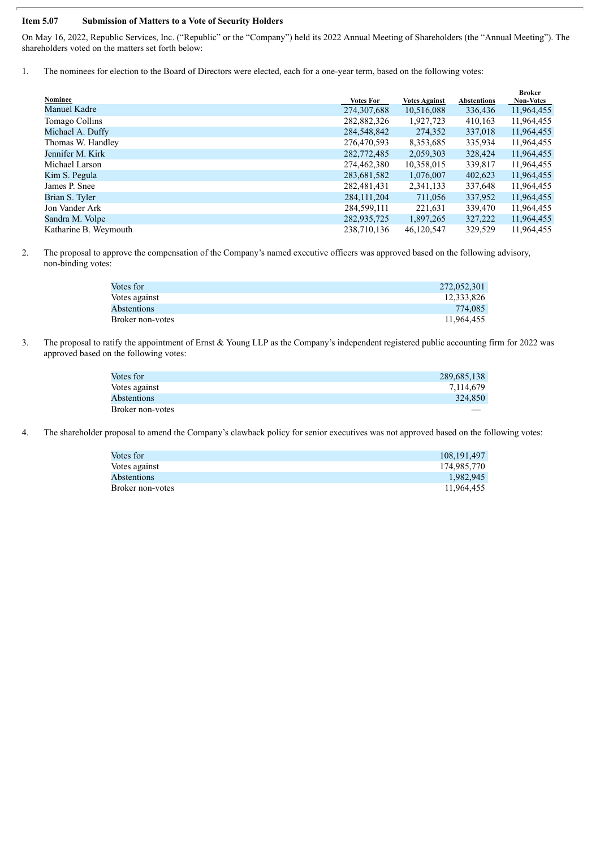#### **Item 5.07 Submission of Matters to a Vote of Security Holders**

On May 16, 2022, Republic Services, Inc. ("Republic" or the "Company") held its 2022 Annual Meeting of Shareholders (the "Annual Meeting"). The shareholders voted on the matters set forth below:

1. The nominees for election to the Board of Directors were elected, each for a one-year term, based on the following votes:

|                       |                  |                      |                    | <b>Broker</b>    |
|-----------------------|------------------|----------------------|--------------------|------------------|
| Nominee               | <b>Votes For</b> | <b>Votes Against</b> | <b>Abstentions</b> | <b>Non-Votes</b> |
| Manuel Kadre          | 274,307,688      | 10,516,088           | 336,436            | 11,964,455       |
| Tomago Collins        | 282,882,326      | 1,927,723            | 410,163            | 11,964,455       |
| Michael A. Duffy      | 284,548,842      | 274,352              | 337,018            | 11,964,455       |
| Thomas W. Handley     | 276,470,593      | 8,353,685            | 335,934            | 11,964,455       |
| Jennifer M. Kirk      | 282,772,485      | 2,059,303            | 328,424            | 11,964,455       |
| Michael Larson        | 274,462,380      | 10,358,015           | 339,817            | 11,964,455       |
| Kim S. Pegula         | 283,681,582      | 1,076,007            | 402,623            | 11,964,455       |
| James P. Snee         | 282,481,431      | 2,341,133            | 337,648            | 11,964,455       |
| Brian S. Tyler        | 284, 111, 204    | 711,056              | 337,952            | 11,964,455       |
| Jon Vander Ark        | 284,599,111      | 221,631              | 339,470            | 11,964,455       |
| Sandra M. Volpe       | 282,935,725      | 1,897,265            | 327,222            | 11,964,455       |
| Katharine B. Weymouth | 238,710,136      | 46,120,547           | 329,529            | 11,964,455       |

2. The proposal to approve the compensation of the Company's named executive officers was approved based on the following advisory, non-binding votes:

| 272,052,301 |
|-------------|
| 12.333.826  |
| 774.085     |
| 11,964,455  |
|             |

3. The proposal to ratify the appointment of Ernst & Young LLP as the Company's independent registered public accounting firm for 2022 was approved based on the following votes:

| Votes for        | 289,685,138 |
|------------------|-------------|
| Votes against    | 7.114.679   |
| Abstentions      | 324,850     |
| Broker non-votes |             |

4. The shareholder proposal to amend the Company's clawback policy for senior executives was not approved based on the following votes:

| Votes for        | 108.191.497 |
|------------------|-------------|
| Votes against    | 174,985,770 |
| Abstentions      | 1.982.945   |
| Broker non-votes | 11.964.455  |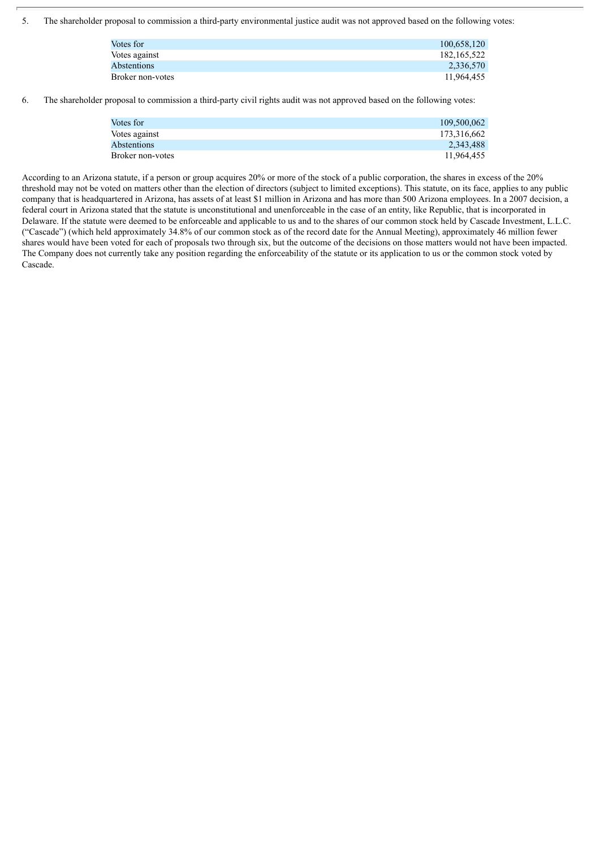5. The shareholder proposal to commission a third-party environmental justice audit was not approved based on the following votes:

| Votes for        | 100,658,120 |
|------------------|-------------|
| Votes against    | 182.165.522 |
| Abstentions      | 2,336,570   |
| Broker non-votes | 11.964.455  |

6. The shareholder proposal to commission a third-party civil rights audit was not approved based on the following votes:

| 109.500.062 |
|-------------|
| 173.316.662 |
| 2,343,488   |
| 11.964.455  |
|             |

According to an Arizona statute, if a person or group acquires 20% or more of the stock of a public corporation, the shares in excess of the 20% threshold may not be voted on matters other than the election of directors (subject to limited exceptions). This statute, on its face, applies to any public company that is headquartered in Arizona, has assets of at least \$1 million in Arizona and has more than 500 Arizona employees. In a 2007 decision, a federal court in Arizona stated that the statute is unconstitutional and unenforceable in the case of an entity, like Republic, that is incorporated in Delaware. If the statute were deemed to be enforceable and applicable to us and to the shares of our common stock held by Cascade Investment, L.L.C. ("Cascade") (which held approximately 34.8% of our common stock as of the record date for the Annual Meeting), approximately 46 million fewer shares would have been voted for each of proposals two through six, but the outcome of the decisions on those matters would not have been impacted. The Company does not currently take any position regarding the enforceability of the statute or its application to us or the common stock voted by Cascade.